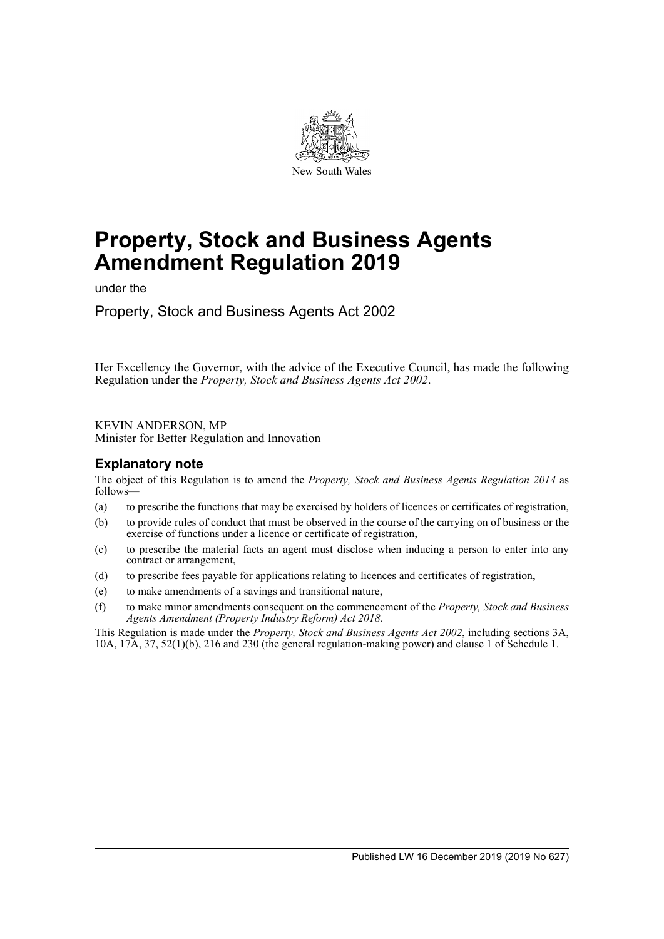

# **Property, Stock and Business Agents Amendment Regulation 2019**

under the

Property, Stock and Business Agents Act 2002

Her Excellency the Governor, with the advice of the Executive Council, has made the following Regulation under the *Property, Stock and Business Agents Act 2002*.

KEVIN ANDERSON, MP

Minister for Better Regulation and Innovation

## **Explanatory note**

The object of this Regulation is to amend the *Property, Stock and Business Agents Regulation 2014* as follows—

- (a) to prescribe the functions that may be exercised by holders of licences or certificates of registration,
- (b) to provide rules of conduct that must be observed in the course of the carrying on of business or the exercise of functions under a licence or certificate of registration,
- (c) to prescribe the material facts an agent must disclose when inducing a person to enter into any contract or arrangement,
- (d) to prescribe fees payable for applications relating to licences and certificates of registration,
- (e) to make amendments of a savings and transitional nature,
- (f) to make minor amendments consequent on the commencement of the *Property, Stock and Business Agents Amendment (Property Industry Reform) Act 2018*.

This Regulation is made under the *Property, Stock and Business Agents Act 2002*, including sections 3A, 10A, 17A, 37, 52(1)(b), 216 and 230 (the general regulation-making power) and clause 1 of Schedule 1.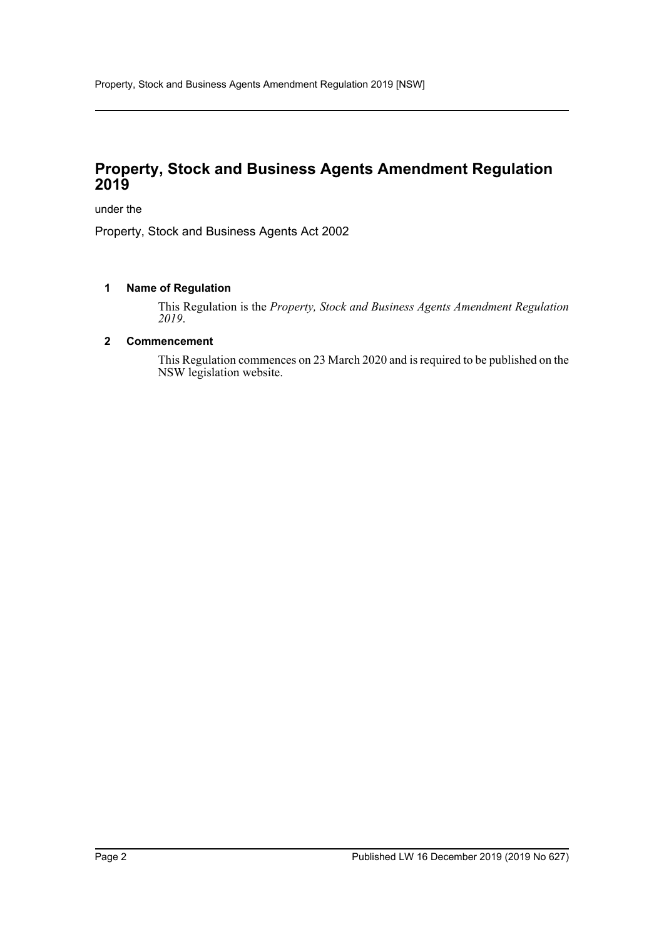# **Property, Stock and Business Agents Amendment Regulation 2019**

under the

Property, Stock and Business Agents Act 2002

## **1 Name of Regulation**

This Regulation is the *Property, Stock and Business Agents Amendment Regulation 2019*.

#### **2 Commencement**

This Regulation commences on 23 March 2020 and is required to be published on the NSW legislation website.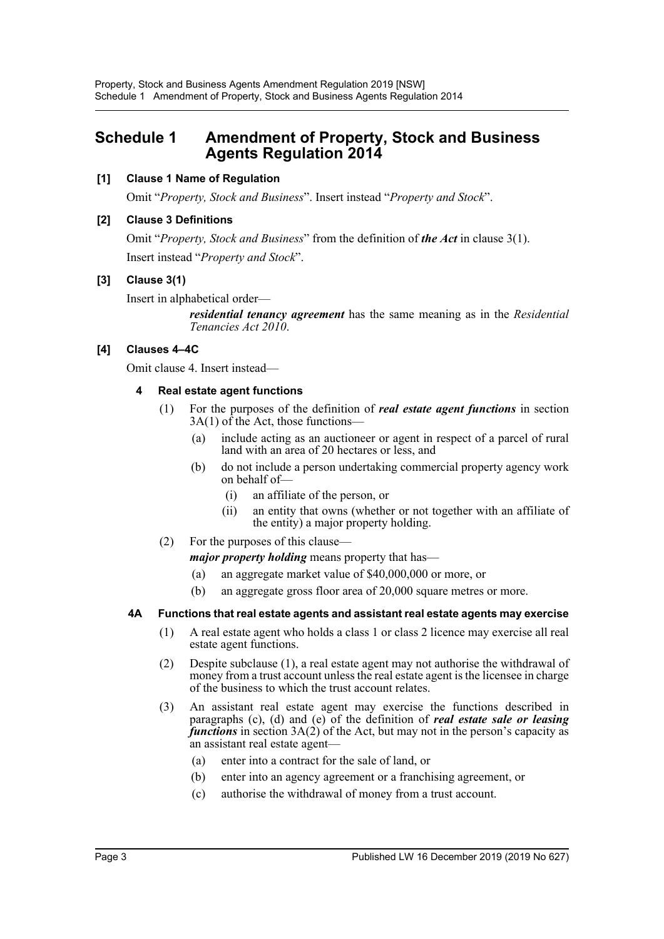# **Schedule 1 Amendment of Property, Stock and Business Agents Regulation 2014**

## **[1] Clause 1 Name of Regulation**

Omit "*Property, Stock and Business*". Insert instead "*Property and Stock*".

## **[2] Clause 3 Definitions**

Omit "*Property, Stock and Business*" from the definition of *the Act* in clause 3(1). Insert instead "*Property and Stock*".

## **[3] Clause 3(1)**

Insert in alphabetical order—

*residential tenancy agreement* has the same meaning as in the *Residential Tenancies Act 2010*.

## **[4] Clauses 4–4C**

Omit clause 4. Insert instead—

## **4 Real estate agent functions**

- (1) For the purposes of the definition of *real estate agent functions* in section 3A(1) of the Act, those functions—
	- (a) include acting as an auctioneer or agent in respect of a parcel of rural land with an area of 20 hectares or less, and
	- (b) do not include a person undertaking commercial property agency work on behalf of—
		- (i) an affiliate of the person, or
		- (ii) an entity that owns (whether or not together with an affiliate of the entity) a major property holding.
- (2) For the purposes of this clause—

*major property holding* means property that has—

- (a) an aggregate market value of \$40,000,000 or more, or
- (b) an aggregate gross floor area of 20,000 square metres or more.

## **4A Functions that real estate agents and assistant real estate agents may exercise**

- (1) A real estate agent who holds a class 1 or class 2 licence may exercise all real estate agent functions.
- (2) Despite subclause (1), a real estate agent may not authorise the withdrawal of money from a trust account unless the real estate agent is the licensee in charge of the business to which the trust account relates.
- (3) An assistant real estate agent may exercise the functions described in paragraphs (c), (d) and (e) of the definition of *real estate sale or leasing functions* in section 3A(2) of the Act, but may not in the person's capacity as an assistant real estate agent—
	- (a) enter into a contract for the sale of land, or
	- (b) enter into an agency agreement or a franchising agreement, or
	- (c) authorise the withdrawal of money from a trust account.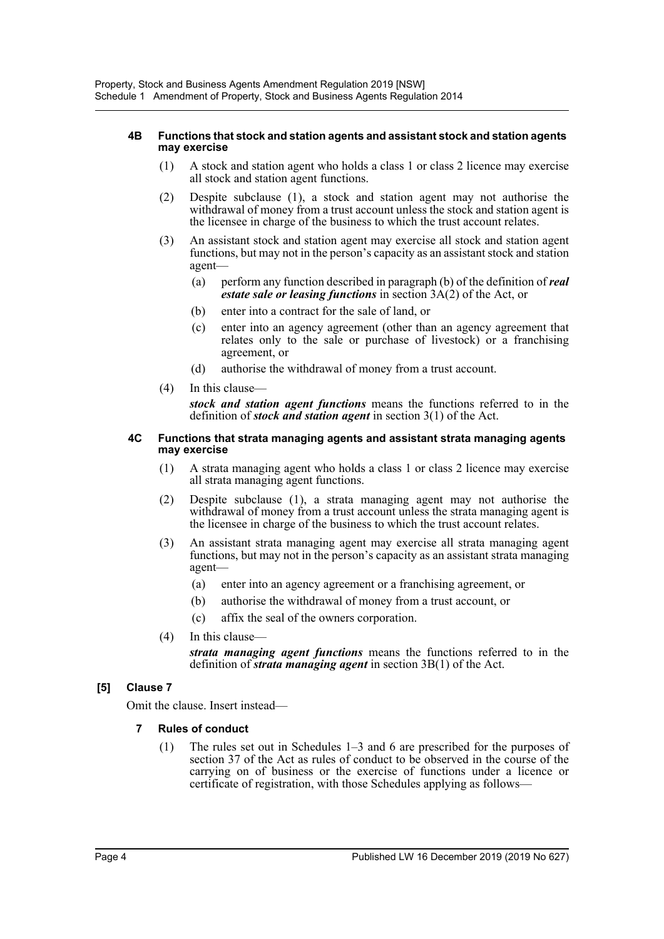#### **4B Functions that stock and station agents and assistant stock and station agents may exercise**

- (1) A stock and station agent who holds a class 1 or class 2 licence may exercise all stock and station agent functions.
- (2) Despite subclause (1), a stock and station agent may not authorise the withdrawal of money from a trust account unless the stock and station agent is the licensee in charge of the business to which the trust account relates.
- (3) An assistant stock and station agent may exercise all stock and station agent functions, but may not in the person's capacity as an assistant stock and station agent—
	- (a) perform any function described in paragraph (b) of the definition of *real estate sale or leasing functions* in section 3A(2) of the Act, or
	- (b) enter into a contract for the sale of land, or
	- (c) enter into an agency agreement (other than an agency agreement that relates only to the sale or purchase of livestock) or a franchising agreement, or
	- (d) authorise the withdrawal of money from a trust account.
- (4) In this clause—

*stock and station agent functions* means the functions referred to in the definition of *stock and station agent* in section 3(1) of the Act.

#### **4C Functions that strata managing agents and assistant strata managing agents may exercise**

- (1) A strata managing agent who holds a class 1 or class 2 licence may exercise all strata managing agent functions.
- (2) Despite subclause (1), a strata managing agent may not authorise the withdrawal of money from a trust account unless the strata managing agent is the licensee in charge of the business to which the trust account relates.
- (3) An assistant strata managing agent may exercise all strata managing agent functions, but may not in the person's capacity as an assistant strata managing agent—
	- (a) enter into an agency agreement or a franchising agreement, or
	- (b) authorise the withdrawal of money from a trust account, or
	- (c) affix the seal of the owners corporation.
- (4) In this clause—

*strata managing agent functions* means the functions referred to in the definition of *strata managing agent* in section 3B(1) of the Act.

## **[5] Clause 7**

Omit the clause. Insert instead—

- **7 Rules of conduct**
	- (1) The rules set out in Schedules 1–3 and 6 are prescribed for the purposes of section 37 of the Act as rules of conduct to be observed in the course of the carrying on of business or the exercise of functions under a licence or certificate of registration, with those Schedules applying as follows—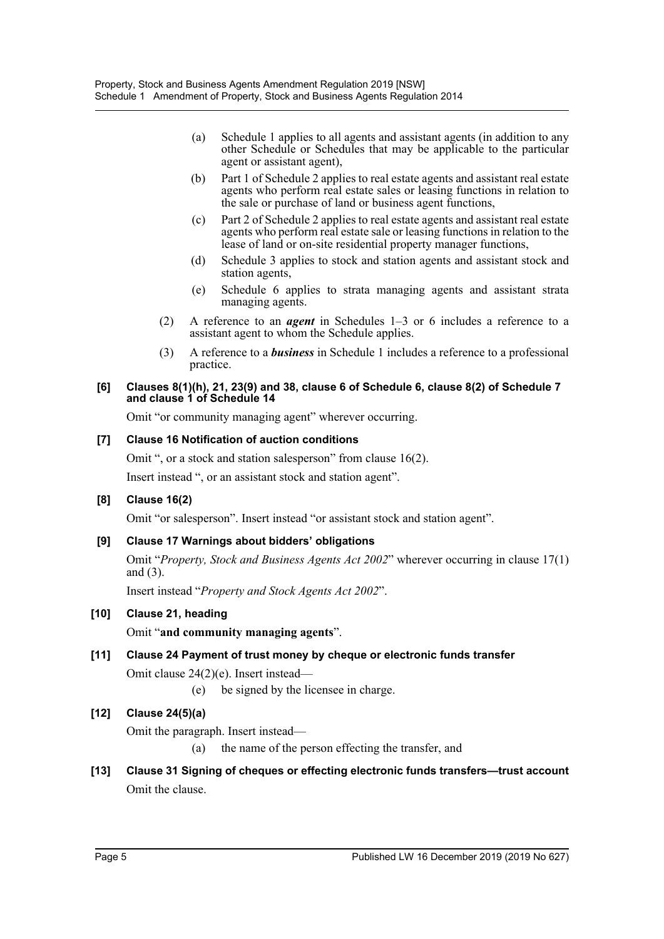- (a) Schedule 1 applies to all agents and assistant agents (in addition to any other Schedule or Schedules that may be applicable to the particular agent or assistant agent),
- (b) Part 1 of Schedule 2 applies to real estate agents and assistant real estate agents who perform real estate sales or leasing functions in relation to the sale or purchase of land or business agent functions,
- (c) Part 2 of Schedule 2 applies to real estate agents and assistant real estate agents who perform real estate sale or leasing functions in relation to the lease of land or on-site residential property manager functions,
- (d) Schedule 3 applies to stock and station agents and assistant stock and station agents,
- (e) Schedule 6 applies to strata managing agents and assistant strata managing agents.
- (2) A reference to an *agent* in Schedules 1–3 or 6 includes a reference to a assistant agent to whom the Schedule applies.
- (3) A reference to a *business* in Schedule 1 includes a reference to a professional practice.

#### **[6] Clauses 8(1)(h), 21, 23(9) and 38, clause 6 of Schedule 6, clause 8(2) of Schedule 7 and clause 1 of Schedule 14**

Omit "or community managing agent" wherever occurring.

## **[7] Clause 16 Notification of auction conditions**

Omit ", or a stock and station salesperson" from clause 16(2). Insert instead ", or an assistant stock and station agent".

## **[8] Clause 16(2)**

Omit "or salesperson". Insert instead "or assistant stock and station agent".

## **[9] Clause 17 Warnings about bidders' obligations**

Omit "*Property, Stock and Business Agents Act 2002*" wherever occurring in clause 17(1) and (3).

Insert instead "*Property and Stock Agents Act 2002*".

## **[10] Clause 21, heading**

Omit "**and community managing agents**".

## **[11] Clause 24 Payment of trust money by cheque or electronic funds transfer**

Omit clause 24(2)(e). Insert instead—

(e) be signed by the licensee in charge.

## **[12] Clause 24(5)(a)**

Omit the paragraph. Insert instead—

- (a) the name of the person effecting the transfer, and
- **[13] Clause 31 Signing of cheques or effecting electronic funds transfers—trust account** Omit the clause.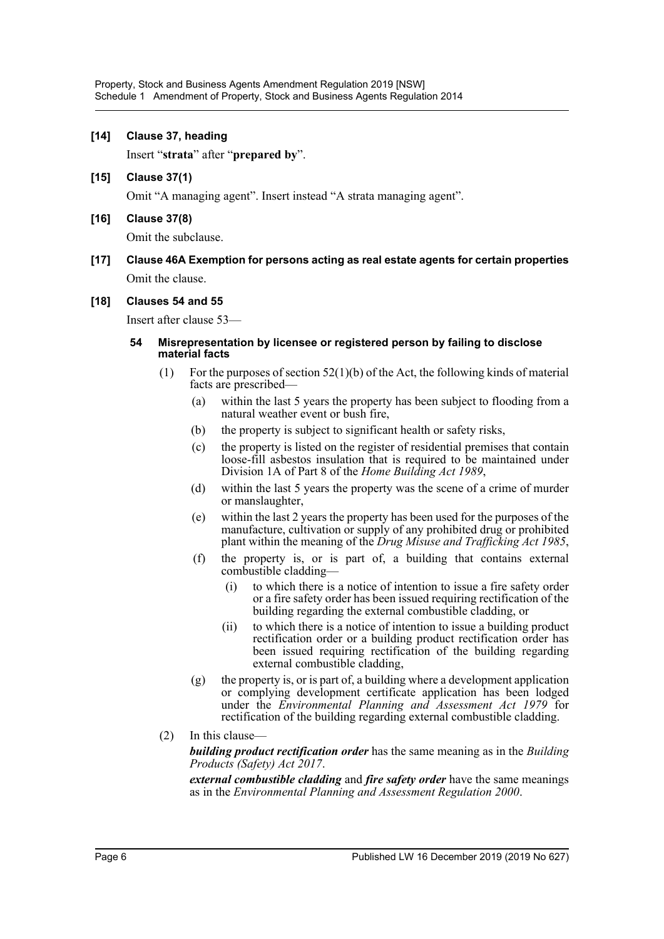#### **[14] Clause 37, heading**

Insert "**strata**" after "**prepared by**".

**[15] Clause 37(1)**

Omit "A managing agent". Insert instead "A strata managing agent".

**[16] Clause 37(8)**

Omit the subclause.

**[17] Clause 46A Exemption for persons acting as real estate agents for certain properties** Omit the clause.

#### **[18] Clauses 54 and 55**

Insert after clause 53—

#### **54 Misrepresentation by licensee or registered person by failing to disclose material facts**

- (1) For the purposes of section  $52(1)(b)$  of the Act, the following kinds of material facts are prescribed—
	- (a) within the last 5 years the property has been subject to flooding from a natural weather event or bush fire,
	- (b) the property is subject to significant health or safety risks,
	- (c) the property is listed on the register of residential premises that contain loose-fill asbestos insulation that is required to be maintained under Division 1A of Part 8 of the *Home Building Act 1989*,
	- (d) within the last 5 years the property was the scene of a crime of murder or manslaughter,
	- (e) within the last 2 years the property has been used for the purposes of the manufacture, cultivation or supply of any prohibited drug or prohibited plant within the meaning of the *Drug Misuse and Trafficking Act 1985*,
	- (f) the property is, or is part of, a building that contains external combustible cladding—
		- (i) to which there is a notice of intention to issue a fire safety order or a fire safety order has been issued requiring rectification of the building regarding the external combustible cladding, or
		- (ii) to which there is a notice of intention to issue a building product rectification order or a building product rectification order has been issued requiring rectification of the building regarding external combustible cladding,
	- (g) the property is, or is part of, a building where a development application or complying development certificate application has been lodged under the *Environmental Planning and Assessment Act 1979* for rectification of the building regarding external combustible cladding.
- (2) In this clause—

*building product rectification order* has the same meaning as in the *Building Products (Safety) Act 2017*.

*external combustible cladding* and *fire safety order* have the same meanings as in the *Environmental Planning and Assessment Regulation 2000*.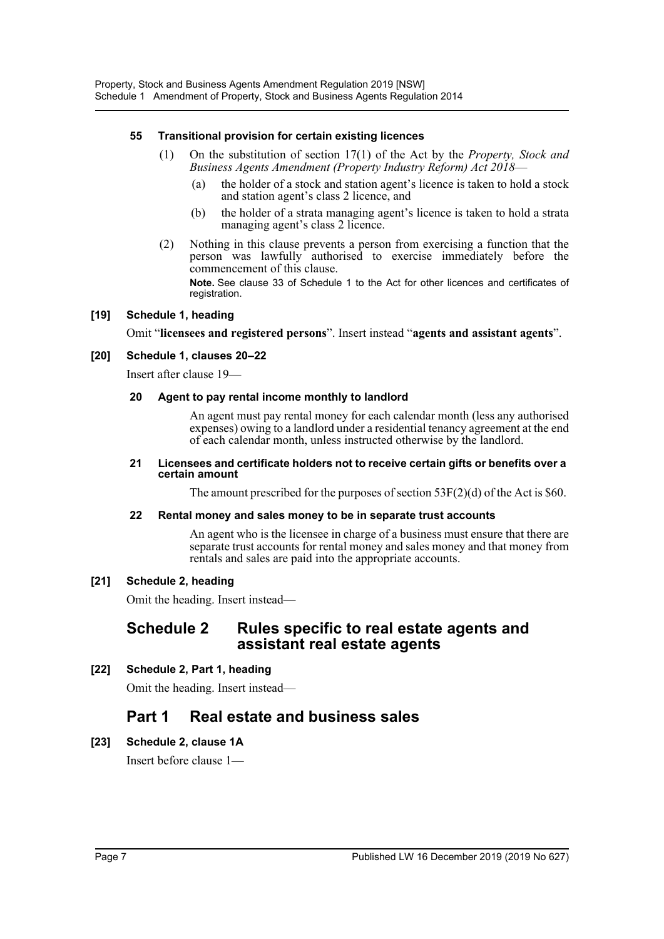#### **55 Transitional provision for certain existing licences**

- (1) On the substitution of section 17(1) of the Act by the *Property, Stock and Business Agents Amendment (Property Industry Reform) Act 2018*—
	- (a) the holder of a stock and station agent's licence is taken to hold a stock and station agent's class 2 licence, and
	- (b) the holder of a strata managing agent's licence is taken to hold a strata managing agent's class 2 licence.
- (2) Nothing in this clause prevents a person from exercising a function that the person was lawfully authorised to exercise immediately before the commencement of this clause.

**Note.** See clause 33 of Schedule 1 to the Act for other licences and certificates of registration.

#### **[19] Schedule 1, heading**

Omit "**licensees and registered persons**". Insert instead "**agents and assistant agents**".

#### **[20] Schedule 1, clauses 20–22**

Insert after clause 19—

#### **20 Agent to pay rental income monthly to landlord**

An agent must pay rental money for each calendar month (less any authorised expenses) owing to a landlord under a residential tenancy agreement at the end of each calendar month, unless instructed otherwise by the landlord.

#### **21 Licensees and certificate holders not to receive certain gifts or benefits over a certain amount**

The amount prescribed for the purposes of section 53F(2)(d) of the Act is \$60.

#### **22 Rental money and sales money to be in separate trust accounts**

An agent who is the licensee in charge of a business must ensure that there are separate trust accounts for rental money and sales money and that money from rentals and sales are paid into the appropriate accounts.

#### **[21] Schedule 2, heading**

Omit the heading. Insert instead—

## **Schedule 2 Rules specific to real estate agents and assistant real estate agents**

## **[22] Schedule 2, Part 1, heading**

Omit the heading. Insert instead—

# **Part 1 Real estate and business sales**

## **[23] Schedule 2, clause 1A**

Insert before clause 1—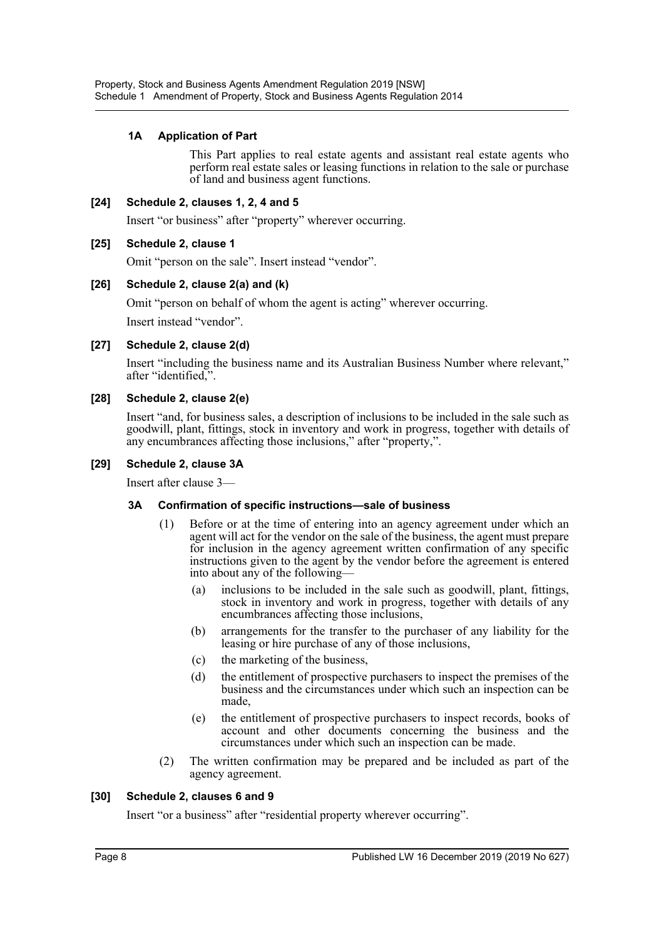## **1A Application of Part**

This Part applies to real estate agents and assistant real estate agents who perform real estate sales or leasing functions in relation to the sale or purchase of land and business agent functions.

#### **[24] Schedule 2, clauses 1, 2, 4 and 5**

Insert "or business" after "property" wherever occurring.

#### **[25] Schedule 2, clause 1**

Omit "person on the sale". Insert instead "vendor".

#### **[26] Schedule 2, clause 2(a) and (k)**

Omit "person on behalf of whom the agent is acting" wherever occurring.

Insert instead "vendor".

#### **[27] Schedule 2, clause 2(d)**

Insert "including the business name and its Australian Business Number where relevant," after "identified,".

#### **[28] Schedule 2, clause 2(e)**

Insert "and, for business sales, a description of inclusions to be included in the sale such as goodwill, plant, fittings, stock in inventory and work in progress, together with details of any encumbrances affecting those inclusions," after "property,".

#### **[29] Schedule 2, clause 3A**

Insert after clause 3—

#### **3A Confirmation of specific instructions—sale of business**

- (1) Before or at the time of entering into an agency agreement under which an agent will act for the vendor on the sale of the business, the agent must prepare for inclusion in the agency agreement written confirmation of any specific instructions given to the agent by the vendor before the agreement is entered into about any of the following—
	- (a) inclusions to be included in the sale such as goodwill, plant, fittings, stock in inventory and work in progress, together with details of any encumbrances affecting those inclusions,
	- (b) arrangements for the transfer to the purchaser of any liability for the leasing or hire purchase of any of those inclusions,
	- (c) the marketing of the business,
	- (d) the entitlement of prospective purchasers to inspect the premises of the business and the circumstances under which such an inspection can be made,
	- (e) the entitlement of prospective purchasers to inspect records, books of account and other documents concerning the business and the circumstances under which such an inspection can be made.
- (2) The written confirmation may be prepared and be included as part of the agency agreement.

#### **[30] Schedule 2, clauses 6 and 9**

Insert "or a business" after "residential property wherever occurring".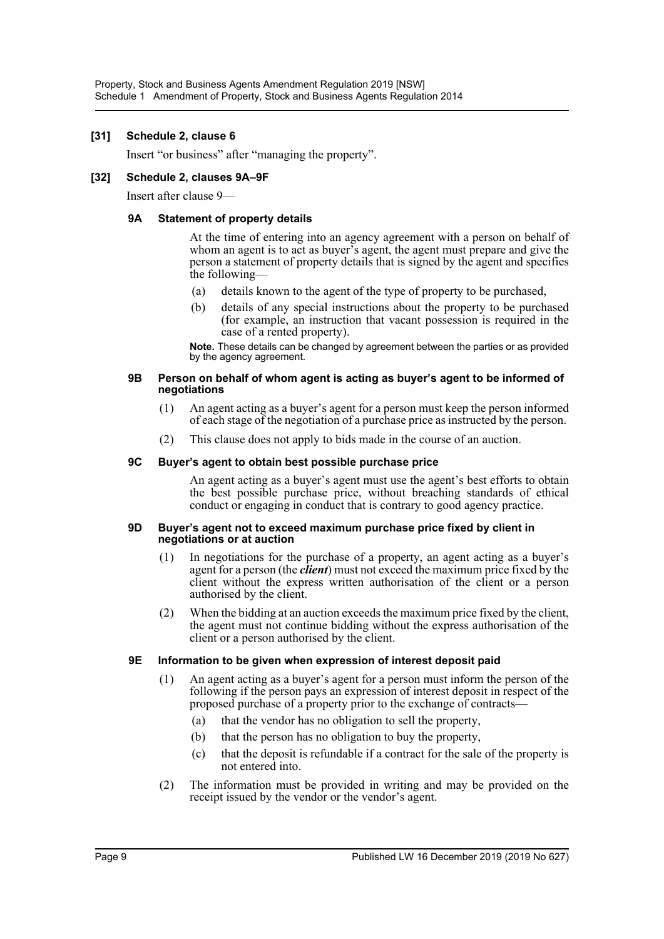#### **[31] Schedule 2, clause 6**

Insert "or business" after "managing the property".

#### **[32] Schedule 2, clauses 9A–9F**

Insert after clause 9—

#### **9A Statement of property details**

At the time of entering into an agency agreement with a person on behalf of whom an agent is to act as buyer's agent, the agent must prepare and give the person a statement of property details that is signed by the agent and specifies the following—

- (a) details known to the agent of the type of property to be purchased,
- (b) details of any special instructions about the property to be purchased (for example, an instruction that vacant possession is required in the case of a rented property).

**Note.** These details can be changed by agreement between the parties or as provided by the agency agreement.

#### **9B Person on behalf of whom agent is acting as buyer's agent to be informed of negotiations**

- (1) An agent acting as a buyer's agent for a person must keep the person informed of each stage of the negotiation of a purchase price as instructed by the person.
- (2) This clause does not apply to bids made in the course of an auction.

#### **9C Buyer's agent to obtain best possible purchase price**

An agent acting as a buyer's agent must use the agent's best efforts to obtain the best possible purchase price, without breaching standards of ethical conduct or engaging in conduct that is contrary to good agency practice.

#### **9D Buyer's agent not to exceed maximum purchase price fixed by client in negotiations or at auction**

- (1) In negotiations for the purchase of a property, an agent acting as a buyer's agent for a person (the *client*) must not exceed the maximum price fixed by the client without the express written authorisation of the client or a person authorised by the client.
- (2) When the bidding at an auction exceeds the maximum price fixed by the client, the agent must not continue bidding without the express authorisation of the client or a person authorised by the client.

#### **9E Information to be given when expression of interest deposit paid**

- (1) An agent acting as a buyer's agent for a person must inform the person of the following if the person pays an expression of interest deposit in respect of the proposed purchase of a property prior to the exchange of contracts—
	- (a) that the vendor has no obligation to sell the property,
	- (b) that the person has no obligation to buy the property,
	- (c) that the deposit is refundable if a contract for the sale of the property is not entered into.
- (2) The information must be provided in writing and may be provided on the receipt issued by the vendor or the vendor's agent.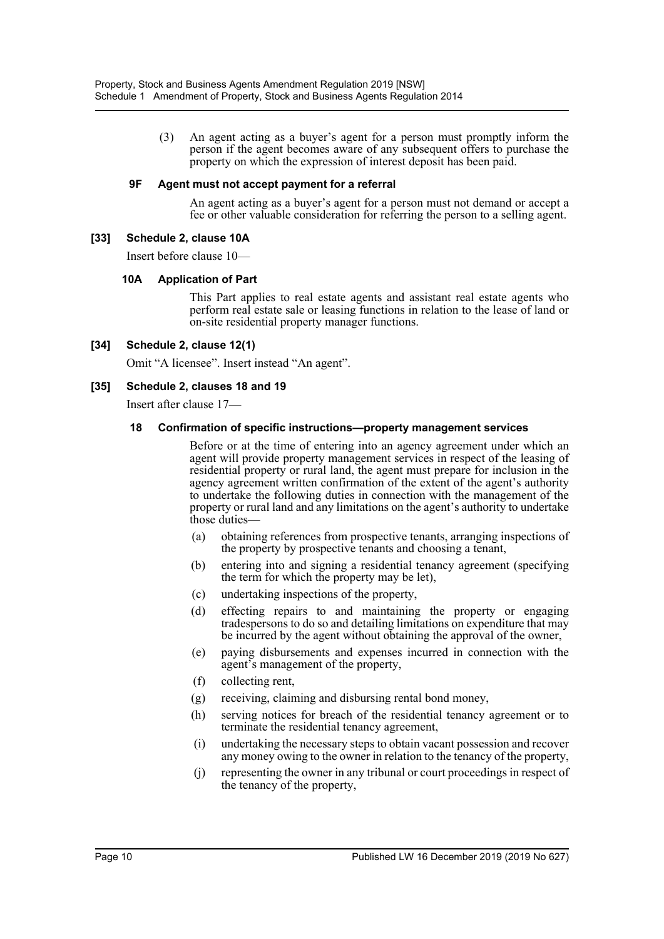(3) An agent acting as a buyer's agent for a person must promptly inform the person if the agent becomes aware of any subsequent offers to purchase the property on which the expression of interest deposit has been paid.

#### **9F Agent must not accept payment for a referral**

An agent acting as a buyer's agent for a person must not demand or accept a fee or other valuable consideration for referring the person to a selling agent.

## **[33] Schedule 2, clause 10A**

Insert before clause 10—

#### **10A Application of Part**

This Part applies to real estate agents and assistant real estate agents who perform real estate sale or leasing functions in relation to the lease of land or on-site residential property manager functions.

#### **[34] Schedule 2, clause 12(1)**

Omit "A licensee". Insert instead "An agent".

#### **[35] Schedule 2, clauses 18 and 19**

Insert after clause 17—

#### **18 Confirmation of specific instructions—property management services**

Before or at the time of entering into an agency agreement under which an agent will provide property management services in respect of the leasing of residential property or rural land, the agent must prepare for inclusion in the agency agreement written confirmation of the extent of the agent's authority to undertake the following duties in connection with the management of the property or rural land and any limitations on the agent's authority to undertake those duties—

- (a) obtaining references from prospective tenants, arranging inspections of the property by prospective tenants and choosing a tenant,
- (b) entering into and signing a residential tenancy agreement (specifying the term for which the property may be let),
- (c) undertaking inspections of the property,
- (d) effecting repairs to and maintaining the property or engaging tradespersons to do so and detailing limitations on expenditure that may be incurred by the agent without obtaining the approval of the owner,
- (e) paying disbursements and expenses incurred in connection with the agent's management of the property,
- (f) collecting rent,
- (g) receiving, claiming and disbursing rental bond money,
- (h) serving notices for breach of the residential tenancy agreement or to terminate the residential tenancy agreement,
- (i) undertaking the necessary steps to obtain vacant possession and recover any money owing to the owner in relation to the tenancy of the property,
- (j) representing the owner in any tribunal or court proceedings in respect of the tenancy of the property,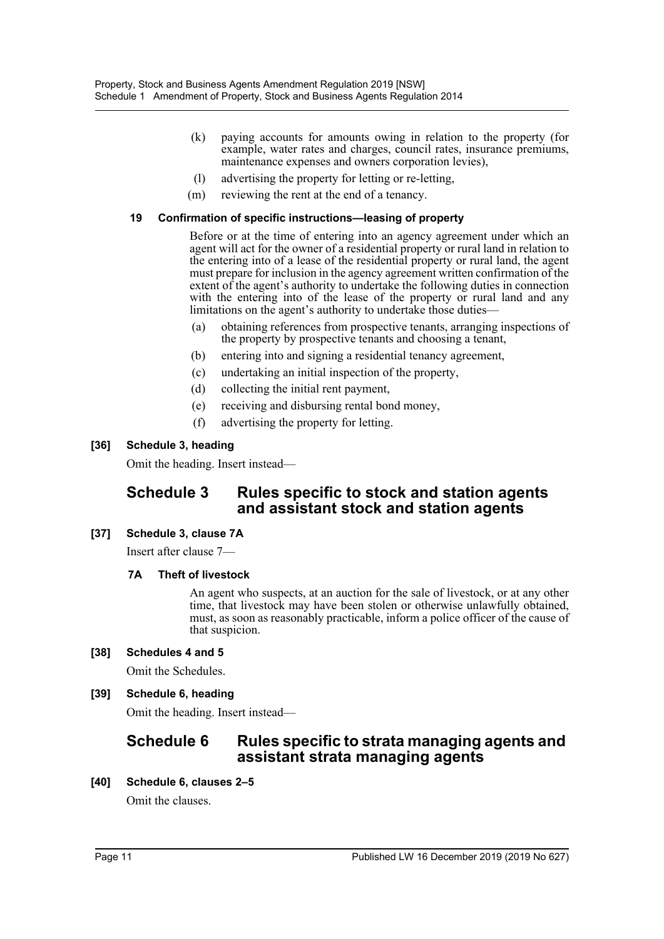- (k) paying accounts for amounts owing in relation to the property (for example, water rates and charges, council rates, insurance premiums, maintenance expenses and owners corporation levies),
- (l) advertising the property for letting or re-letting,
- (m) reviewing the rent at the end of a tenancy.

#### **19 Confirmation of specific instructions—leasing of property**

Before or at the time of entering into an agency agreement under which an agent will act for the owner of a residential property or rural land in relation to the entering into of a lease of the residential property or rural land, the agent must prepare for inclusion in the agency agreement written confirmation of the extent of the agent's authority to undertake the following duties in connection with the entering into of the lease of the property or rural land and any limitations on the agent's authority to undertake those duties—

- (a) obtaining references from prospective tenants, arranging inspections of the property by prospective tenants and choosing a tenant,
- (b) entering into and signing a residential tenancy agreement,
- (c) undertaking an initial inspection of the property,
- (d) collecting the initial rent payment,
- (e) receiving and disbursing rental bond money,
- (f) advertising the property for letting.

#### **[36] Schedule 3, heading**

Omit the heading. Insert instead—

# **Schedule 3 Rules specific to stock and station agents and assistant stock and station agents**

## **[37] Schedule 3, clause 7A**

Insert after clause 7—

## **7A Theft of livestock**

An agent who suspects, at an auction for the sale of livestock, or at any other time, that livestock may have been stolen or otherwise unlawfully obtained, must, as soon as reasonably practicable, inform a police officer of the cause of that suspicion.

## **[38] Schedules 4 and 5**

Omit the Schedules.

## **[39] Schedule 6, heading**

Omit the heading. Insert instead—

# **Schedule 6 Rules specific to strata managing agents and assistant strata managing agents**

**[40] Schedule 6, clauses 2–5**

Omit the clauses.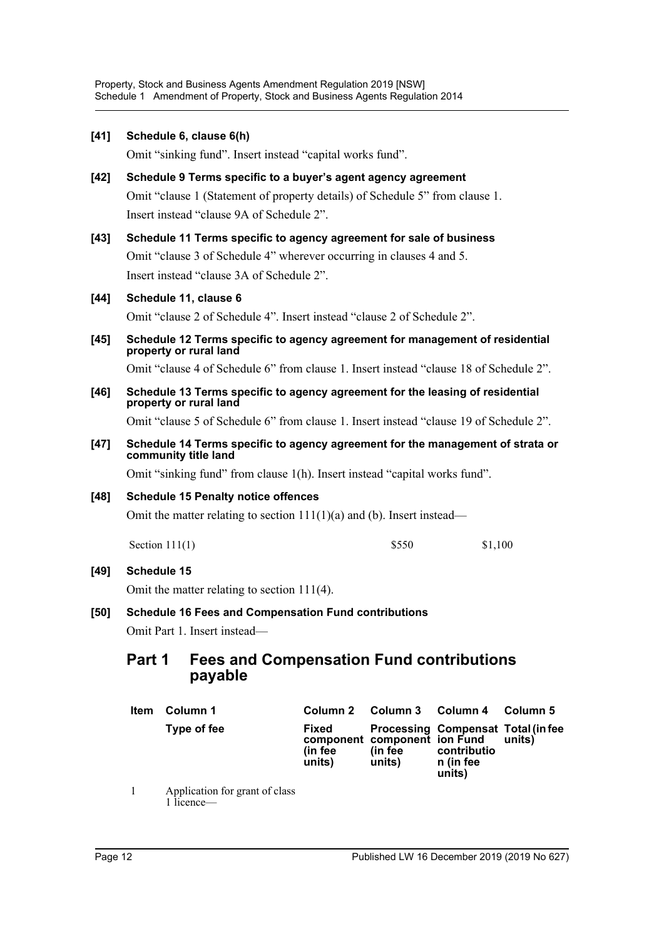**[41] Schedule 6, clause 6(h)** Omit "sinking fund". Insert instead "capital works fund". **[42] Schedule 9 Terms specific to a buyer's agent agency agreement** Omit "clause 1 (Statement of property details) of Schedule 5" from clause 1. Insert instead "clause 9A of Schedule 2". **[43] Schedule 11 Terms specific to agency agreement for sale of business** Omit "clause 3 of Schedule 4" wherever occurring in clauses 4 and 5. Insert instead "clause 3A of Schedule 2". **[44] Schedule 11, clause 6** Omit "clause 2 of Schedule 4". Insert instead "clause 2 of Schedule 2". **[45] Schedule 12 Terms specific to agency agreement for management of residential property or rural land** Omit "clause 4 of Schedule 6" from clause 1. Insert instead "clause 18 of Schedule 2". **[46] Schedule 13 Terms specific to agency agreement for the leasing of residential property or rural land** Omit "clause 5 of Schedule 6" from clause 1. Insert instead "clause 19 of Schedule 2". **[47] Schedule 14 Terms specific to agency agreement for the management of strata or community title land** Omit "sinking fund" from clause 1(h). Insert instead "capital works fund". **[48] Schedule 15 Penalty notice offences** Omit the matter relating to section  $111(1)(a)$  and (b). Insert instead— **[49] Schedule 15** Omit the matter relating to section 111(4). **[50] Schedule 16 Fees and Compensation Fund contributions** Omit Part 1. Insert instead— **Part 1 Fees and Compensation Fund contributions payable** Section 111(1) \$550 \$1,100

| <b>Item</b>  | Column 1                                   | Column 2                   | Column 3 Column 4                                 |                                                                          | Column 5 |
|--------------|--------------------------------------------|----------------------------|---------------------------------------------------|--------------------------------------------------------------------------|----------|
|              | Type of fee                                | Fixed<br>(in fee<br>units) | component component ion Fund<br>(in fee<br>units) | Processing Compensat Total (in fee<br>contributio<br>n (in fee<br>units) | units)   |
| $\mathbf{1}$ | Application for grant of class<br>licence— |                            |                                                   |                                                                          |          |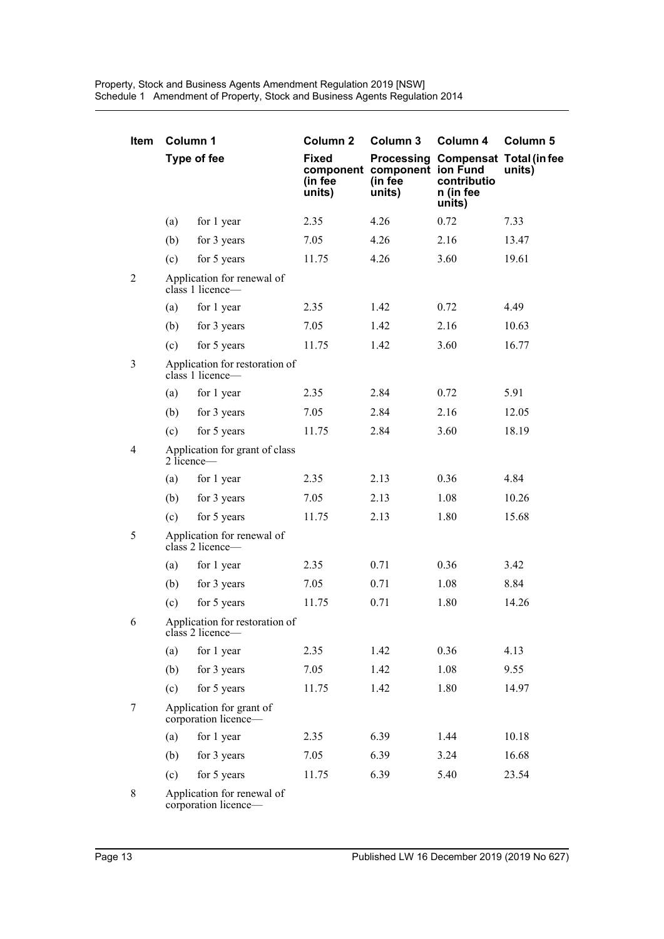| <b>Item</b>    | Column 1                                         |                                                    | Column <sub>2</sub>               | Column 3                                          | Column 4                                                                 | Column 5 |  |
|----------------|--------------------------------------------------|----------------------------------------------------|-----------------------------------|---------------------------------------------------|--------------------------------------------------------------------------|----------|--|
|                |                                                  | Type of fee                                        | <b>Fixed</b><br>(in fee<br>units) | component component ion Fund<br>(in fee<br>units) | Processing Compensat Total (in fee<br>contributio<br>n (in fee<br>units) | units)   |  |
|                | (a)                                              | for 1 year                                         | 2.35                              | 4.26                                              | 0.72                                                                     | 7.33     |  |
|                | (b)                                              | for 3 years                                        | 7.05                              | 4.26                                              | 2.16                                                                     | 13.47    |  |
|                | (c)                                              | for 5 years                                        | 11.75                             | 4.26                                              | 3.60                                                                     | 19.61    |  |
| $\overline{2}$ | Application for renewal of<br>$class 1$ licence— |                                                    |                                   |                                                   |                                                                          |          |  |
|                | (a)                                              | for 1 year                                         | 2.35                              | 1.42                                              | 0.72                                                                     | 4.49     |  |
|                | (b)                                              | for 3 years                                        | 7.05                              | 1.42                                              | 2.16                                                                     | 10.63    |  |
|                | (c)                                              | for 5 years                                        | 11.75                             | 1.42                                              | 3.60                                                                     | 16.77    |  |
| 3              |                                                  | Application for restoration of<br>class 1 licence- |                                   |                                                   |                                                                          |          |  |
|                | (a)                                              | for 1 year                                         | 2.35                              | 2.84                                              | 0.72                                                                     | 5.91     |  |
|                | (b)                                              | for 3 years                                        | 7.05                              | 2.84                                              | 2.16                                                                     | 12.05    |  |
|                | (c)                                              | for 5 years                                        | 11.75                             | 2.84                                              | 3.60                                                                     | 18.19    |  |
| 4              |                                                  | Application for grant of class<br>2 licence—       |                                   |                                                   |                                                                          |          |  |
|                | (a)                                              | for 1 year                                         | 2.35                              | 2.13                                              | 0.36                                                                     | 4.84     |  |
|                | (b)                                              | for 3 years                                        | 7.05                              | 2.13                                              | 1.08                                                                     | 10.26    |  |
|                | (c)                                              | for 5 years                                        | 11.75                             | 2.13                                              | 1.80                                                                     | 15.68    |  |
| 5              |                                                  | Application for renewal of<br>class 2 licence-     |                                   |                                                   |                                                                          |          |  |
|                | (a)                                              | for 1 year                                         | 2.35                              | 0.71                                              | 0.36                                                                     | 3.42     |  |
|                | (b)                                              | for 3 years                                        | 7.05                              | 0.71                                              | 1.08                                                                     | 8.84     |  |
|                | (c)                                              | for 5 years                                        | 11.75                             | 0.71                                              | 1.80                                                                     | 14.26    |  |
| 6              |                                                  | Application for restoration of<br>class 2 licence- |                                   |                                                   |                                                                          |          |  |
|                | (a)                                              | for 1 year                                         | 2.35                              | 1.42                                              | 0.36                                                                     | 4.13     |  |
|                | (b)                                              | for 3 years                                        | 7.05                              | 1.42                                              | 1.08                                                                     | 9.55     |  |
|                | (c)                                              | for 5 years                                        | 11.75                             | 1.42                                              | 1.80                                                                     | 14.97    |  |
| 7              |                                                  | Application for grant of<br>corporation licence-   |                                   |                                                   |                                                                          |          |  |
|                | (a)                                              | for 1 year                                         | 2.35                              | 6.39                                              | 1.44                                                                     | 10.18    |  |
|                | (b)                                              | for 3 years                                        | 7.05                              | 6.39                                              | 3.24                                                                     | 16.68    |  |
|                | (c)                                              | for 5 years                                        | 11.75                             | 6.39                                              | 5.40                                                                     | 23.54    |  |
| 8              | Application for renewal of                       |                                                    |                                   |                                                   |                                                                          |          |  |

corporation licence—